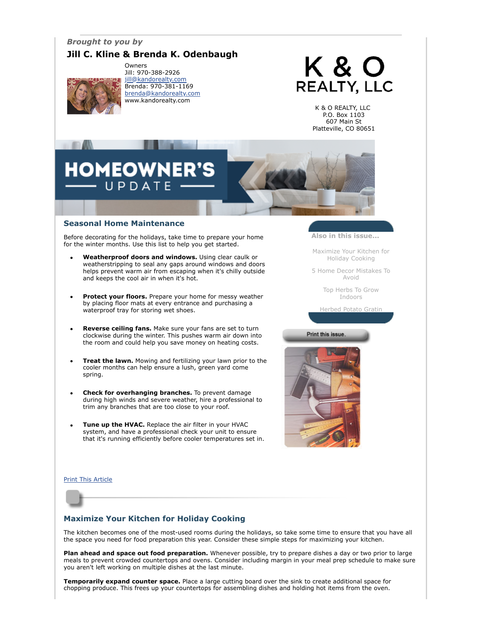# *Brought to you by*

# **Jill C. Kline & Brenda K. Odenbaugh**



Owners Jill: 970-388-2926 [jill@kandorealty.com](mailto:jill@kandorealty.com) Brenda: 970-381-1169 [brenda@kandorealty.com](mailto:brenda@kandorealty.com) www.kandorealty.com

# K & O **REALTY, LLC**

K & O REALTY, LLC P.O. Box 1103 607 Main St Platteville, CO 80651

# **OMEOWNER'S** UPDATE

### **Seasonal Home Maintenance**

Before decorating for the holidays, take time to prepare your home for the winter months. Use this list to help you get started.

- **Weatherproof doors and windows.** Using clear caulk or weatherstripping to seal any gaps around windows and doors helps prevent warm air from escaping when it's chilly outside and keeps the cool air in when it's hot.
- **Protect your floors.** Prepare your home for messy weather by placing floor mats at every entrance and purchasing a waterproof tray for storing wet shoes.
- **Reverse ceiling fans.** Make sure your fans are set to turn clockwise during the winter. This pushes warm air down into the room and could help you save money on heating costs.
- **Treat the lawn.** Mowing and fertilizing your lawn prior to the cooler months can help ensure a lush, green yard come spring.
- **Check for overhanging branches.** To prevent damage during high winds and severe weather, hire a professional to trim any branches that are too close to your roof.
- **Tune up the HVAC.** Replace the air filter in your HVAC system, and have a professional check your unit to ensure that it's running efficiently before cooler temperatures set in.

**Also in this issue...**

[Maximize Your Kitchen for](#page-0-0) Holiday Cooking

[5 Home Decor Mistakes To](#page-1-0) Avoid

> [Top Herbs To Grow](#page-1-1) Indoors

[Herbed Potato Gratin](#page-1-2)

#### Print this issue.



[Print This Article](javascript:print();)



# <span id="page-0-0"></span>**Maximize Your Kitchen for Holiday Cooking**

The kitchen becomes one of the most-used rooms during the holidays, so take some time to ensure that you have all the space you need for food preparation this year. Consider these simple steps for maximizing your kitchen.

**Plan ahead and space out food preparation.** Whenever possible, try to prepare dishes a day or two prior to large meals to prevent crowded countertops and ovens. Consider including margin in your meal prep schedule to make sure you aren't left working on multiple dishes at the last minute.

**Temporarily expand counter space.** Place a large cutting board over the sink to create additional space for chopping produce. This frees up your countertops for assembling dishes and holding hot items from the oven.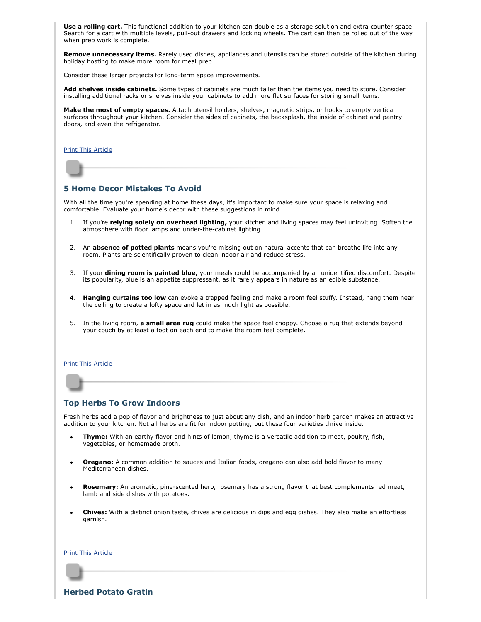**Use a rolling cart.** This functional addition to your kitchen can double as a storage solution and extra counter space. Search for a cart with multiple levels, pull-out drawers and locking wheels. The cart can then be rolled out of the way when prep work is complete.

**Remove unnecessary items.** Rarely used dishes, appliances and utensils can be stored outside of the kitchen during holiday hosting to make more room for meal prep.

Consider these larger projects for long-term space improvements.

**Add shelves inside cabinets.** Some types of cabinets are much taller than the items you need to store. Consider installing additional racks or shelves inside your cabinets to add more flat surfaces for storing small items.

**Make the most of empty spaces.** Attach utensil holders, shelves, magnetic strips, or hooks to empty vertical surfaces throughout your kitchen. Consider the sides of cabinets, the backsplash, the inside of cabinet and pantry doors, and even the refrigerator.

[Print This Article](javascript:print();)

# <span id="page-1-0"></span>**5 Home Decor Mistakes To Avoid**

With all the time you're spending at home these days, it's important to make sure your space is relaxing and comfortable. Evaluate your home's decor with these suggestions in mind.

- 1. If you're **relying solely on overhead lighting,** your kitchen and living spaces may feel uninviting. Soften the atmosphere with floor lamps and under-the-cabinet lighting.
- 2. An **absence of potted plants** means you're missing out on natural accents that can breathe life into any room. Plants are scientifically proven to clean indoor air and reduce stress.
- 3. If your **dining room is painted blue,** your meals could be accompanied by an unidentified discomfort. Despite its popularity, blue is an appetite suppressant, as it rarely appears in nature as an edible substance.
- 4. **Hanging curtains too low** can evoke a trapped feeling and make a room feel stuffy. Instead, hang them near the ceiling to create a lofty space and let in as much light as possible.
- 5. In the living room, **a small area rug** could make the space feel choppy. Choose a rug that extends beyond your couch by at least a foot on each end to make the room feel complete.

#### [Print This Article](javascript:print();)

#### <span id="page-1-1"></span>**Top Herbs To Grow Indoors**

Fresh herbs add a pop of flavor and brightness to just about any dish, and an indoor herb garden makes an attractive addition to your kitchen. Not all herbs are fit for indoor potting, but these four varieties thrive inside.

- **Thyme:** With an earthy flavor and hints of lemon, thyme is a versatile addition to meat, poultry, fish, vegetables, or homemade broth.
- **Oregano:** A common addition to sauces and Italian foods, oregano can also add bold flavor to many Mediterranean dishes.
- **Rosemary:** An aromatic, pine-scented herb, rosemary has a strong flavor that best complements red meat, lamb and side dishes with potatoes.
- **Chives:** With a distinct onion taste, chives are delicious in dips and egg dishes. They also make an effortless garnish.

**[Print This Article](javascript:print();)** 

<span id="page-1-2"></span>**Herbed Potato Gratin**